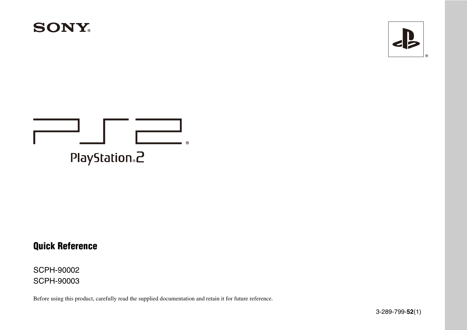



# PlayStation<sub>®</sub>2

### **Quick Reference**

SCPH-90002 SCPH-90003

Before using this product, carefully read the supplied documentation and retain it for future reference.

3-289-799-**52**(1)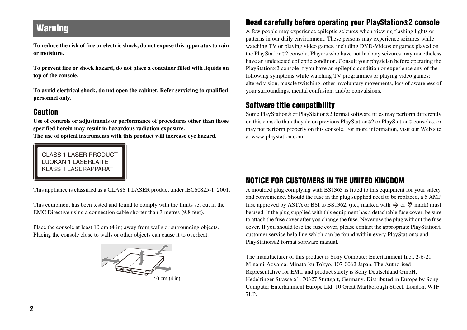### **Warning**

**To reduce the risk of fire or electric shock, do not expose this apparatus to rain or moisture.**

**To prevent fire or shock hazard, do not place a container filled with liquids on top of the console.**

**To avoid electrical shock, do not open the cabinet. Refer servicing to qualified personnel only.**

#### **Caution**

**Use of controls or adjustments or performance of procedures other than those specified herein may result in hazardous radiation exposure.**

**The use of optical instruments with this product will increase eye hazard.**

CLASS 1 LASER PRODUCT LUOKAN 1 LASERLAITE KLASS 1 LASERAPPARAT

This appliance is classified as a CLASS 1 LASER product under IEC60825-1: 2001.

This equipment has been tested and found to comply with the limits set out in the EMC Directive using a connection cable shorter than 3 metres (9.8 feet).

Place the console at least 10 cm (4 in) away from walls or surrounding objects. Placing the console close to walls or other objects can cause it to overheat.



### **Read carefully before operating your PlayStation®2 console**

A few people may experience epileptic seizures when viewing flashing lights or patterns in our daily environment. These persons may experience seizures while watching TV or playing video games, including DVD-Videos or games played on the PlayStation®2 console. Players who have not had any seizures may nonetheless have an undetected epileptic condition. Consult your physician before operating the PlayStation®2 console if you have an epileptic condition or experience any of the following symptoms while watching TV programmes or playing video games: altered vision, muscle twitching, other involuntary movements, loss of awareness of your surroundings, mental confusion, and/or convulsions.

### **Software title compatibility**

Some PlayStation® or PlayStation®2 format software titles may perform differently on this console than they do on previous PlayStation®2 or PlayStation® consoles, or may not perform properly on this console. For more information, visit our Web site at www.playstation.com

#### **NOTICE FOR CUSTOMERS IN THE UNITED KINGDOM**

A moulded plug complying with BS1363 is fitted to this equipment for your safety and convenience. Should the fuse in the plug supplied need to be replaced, a 5 AMP fuse approved by ASTA or BSI to BS1362, (i.e., marked with  $\hat{\otimes}$  or  $\hat{\otimes}$  mark) must be used. If the plug supplied with this equipment has a detachable fuse cover, be sure to attach the fuse cover after you change the fuse. Never use the plug without the fuse cover. If you should lose the fuse cover, please contact the appropriate PlayStation® customer service help line which can be found within every PlayStation® and PlayStation®2 format software manual.

The manufacturer of this product is Sony Computer Entertainment Inc., 2-6-21 Minami-Aoyama, Minato-ku Tokyo, 107-0062 Japan. The Authorised Representative for EMC and product safety is Sony Deutschland GmbH, Hedelfinger Strasse 61, 70327 Stuttgart, Germany. Distributed in Europe by Sony Computer Entertainment Europe Ltd, 10 Great Marlborough Street, London, W1F 7LP.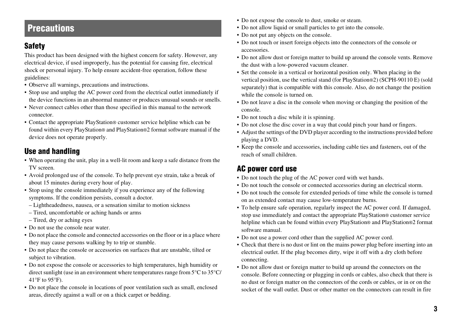### **Precautions**

### **Safety**

This product has been designed with the highest concern for safety. However, any electrical device, if used improperly, has the potential for causing fire, electrical shock or personal injury. To help ensure accident-free operation, follow these guidelines:

- Observe all warnings, precautions and instructions.
- Stop use and unplug the AC power cord from the electrical outlet immediately if the device functions in an abnormal manner or produces unusual sounds or smells.
- Never connect cables other than those specified in this manual to the network connector.
- Contact the appropriate PlayStation® customer service helpline which can be found within every PlayStation® and PlayStation®2 format software manual if the device does not operate properly.

### **Use and handling**

- When operating the unit, play in a well-lit room and keep a safe distance from the TV screen.
- Avoid prolonged use of the console. To help prevent eye strain, take a break of about 15 minutes during every hour of play.
- Stop using the console immediately if you experience any of the following symptoms. If the condition persists, consult a doctor.
- Lightheadedness, nausea, or a sensation similar to motion sickness
- Tired, uncomfortable or aching hands or arms
- Tired, dry or aching eyes
- Do not use the console near water.
- Do not place the console and connected accessories on the floor or in a place where they may cause persons walking by to trip or stumble.
- Do not place the console or accessories on surfaces that are unstable, tilted or subject to vibration.
- Do not expose the console or accessories to high temperatures, high humidity or direct sunlight (use in an environment where temperatures range from 5°C to 35°C/ 41°F to 95°F).
- Do not place the console in locations of poor ventilation such as small, enclosed areas, directly against a wall or on a thick carpet or bedding.
- Do not expose the console to dust, smoke or steam.
- Do not allow liquid or small particles to get into the console.
- Do not put any objects on the console.
- Do not touch or insert foreign objects into the connectors of the console or accessories.
- Do not allow dust or foreign matter to build up around the console vents. Remove the dust with a low-powered vacuum cleaner.
- Set the console in a vertical or horizontal position only. When placing in the vertical position, use the vertical stand (for PlayStation®2) (SCPH-90110 E) (sold separately) that is compatible with this console. Also, do not change the position while the console is turned on.
- Do not leave a disc in the console when moving or changing the position of the console.
- Do not touch a disc while it is spinning.
- Do not close the disc cover in a way that could pinch your hand or fingers.
- Adjust the settings of the DVD player according to the instructions provided before playing a DVD.
- Keep the console and accessories, including cable ties and fasteners, out of the reach of small children.

### **AC power cord use**

- Do not touch the plug of the AC power cord with wet hands.
- Do not touch the console or connected accessories during an electrical storm.
- Do not touch the console for extended periods of time while the console is turned on as extended contact may cause low-temperature burns.
- To help ensure safe operation, regularly inspect the AC power cord. If damaged, stop use immediately and contact the appropriate PlayStation® customer service helpline which can be found within every PlayStation® and PlayStation®2 format software manual.
- Do not use a power cord other than the supplied AC power cord.
- Check that there is no dust or lint on the mains power plug before inserting into an electrical outlet. If the plug becomes dirty, wipe it off with a dry cloth before connecting.
- Do not allow dust or foreign matter to build up around the connectors on the console. Before connecting or plugging in cords or cables, also check that there is no dust or foreign matter on the connectors of the cords or cables, or in or on the socket of the wall outlet. Dust or other matter on the connectors can result in fire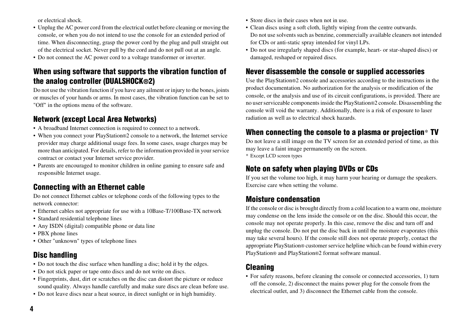or electrical shock.

- Unplug the AC power cord from the electrical outlet before cleaning or moving the console, or when you do not intend to use the console for an extended period of time. When disconnecting, grasp the power cord by the plug and pull straight out of the electrical socket. Never pull by the cord and do not pull out at an angle.
- Do not connect the AC power cord to a voltage transformer or inverter.

#### **When using software that supports the vibration function of the analog controller (DUALSHOCK®2)**

Do not use the vibration function if you have any ailment or injury to the bones, joints or muscles of your hands or arms. In most cases, the vibration function can be set to "Off" in the options menu of the software.

### **Network (except Local Area Networks)**

- A broadband Internet connection is required to connect to a network.
- When you connect your PlayStation®2 console to a network, the Internet service provider may charge additional usage fees. In some cases, usage charges may be more than anticipated. For details, refer to the information provided in your service contract or contact your Internet service provider.
- Parents are encouraged to monitor children in online gaming to ensure safe and responsible Internet usage.

### **Connecting with an Ethernet cable**

Do not connect Ethernet cables or telephone cords of the following types to the network connector:

- Ethernet cables not appropriate for use with a 10Base-T/100Base-TX network
- Standard residential telephone lines
- Any ISDN (digital) compatible phone or data line
- PBX phone lines
- Other "unknown" types of telephone lines

### **Disc handling**

- Do not touch the disc surface when handling a disc; hold it by the edges.
- Do not stick paper or tape onto discs and do not write on discs.
- Fingerprints, dust, dirt or scratches on the disc can distort the picture or reduce sound quality. Always handle carefully and make sure discs are clean before use.
- Do not leave discs near a heat source, in direct sunlight or in high humidity.
- Store discs in their cases when not in use.
- Clean discs using a soft cloth, lightly wiping from the centre outwards. Do not use solvents such as benzine, commercially available cleaners not intended for CDs or anti-static spray intended for vinyl LPs.
- Do not use irregularly shaped discs (for example, heart- or star-shaped discs) or damaged, reshaped or repaired discs.

#### **Never disassemble the console or supplied accessories**

Use the PlayStation®2 console and accessories according to the instructions in the product documentation. No authorization for the analysis or modification of the console, or the analysis and use of its circuit configurations, is provided. There are no user serviceable components inside the PlayStation®2 console. Disassembling the console will void the warranty. Additionally, there is a risk of exposure to laser radiation as well as to electrical shock hazards.

### **When connecting the console to a plasma or projection**\* **TV**

Do not leave a still image on the TV screen for an extended period of time, as this may leave a faint image permanently on the screen. \* Except LCD screen types

### **Note on safety when playing DVDs or CDs**

If you set the volume too high, it may harm your hearing or damage the speakers. Exercise care when setting the volume.

#### **Moisture condensation**

If the console or disc is brought directly from a cold location to a warm one, moisture may condense on the lens inside the console or on the disc. Should this occur, the console may not operate properly. In this case, remove the disc and turn off and unplug the console. Do not put the disc back in until the moisture evaporates (this may take several hours). If the console still does not operate properly, contact the appropriate PlayStation® customer service helpline which can be found within every PlayStation® and PlayStation®2 format software manual.

#### **Cleaning**

• For safety reasons, before cleaning the console or connected accessories, 1) turn off the console, 2) disconnect the mains power plug for the console from the electrical outlet, and 3) disconnect the Ethernet cable from the console.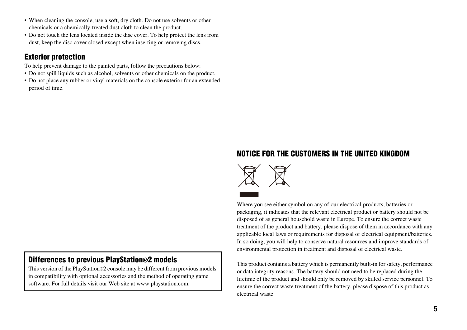- When cleaning the console, use a soft, dry cloth. Do not use solvents or other chemicals or a chemically-treated dust cloth to clean the product.
- Do not touch the lens located inside the disc cover. To help protect the lens from dust, keep the disc cover closed except when inserting or removing discs.

#### **Exterior protection**

To help prevent damage to the painted parts, follow the precautions below:

- Do not spill liquids such as alcohol, solvents or other chemicals on the product.
- Do not place any rubber or vinyl materials on the console exterior for an extended period of time.

#### **Differences to previous PlayStation®2 models**

This version of the PlayStation®2 console may be different from previous models in compatibility with optional accessories and the method of operating game software. For full details visit our Web site at www.playstation.com.

#### **NOTICE FOR THE CUSTOMERS IN THE UNITED KINGDOM**



Where you see either symbol on any of our electrical products, batteries or packaging, it indicates that the relevant electrical product or battery should not be disposed of as general household waste in Europe. To ensure the correct waste treatment of the product and battery, please dispose of them in accordance with any applicable local laws or requirements for disposal of electrical equipment/batteries. In so doing, you will help to conserve natural resources and improve standards of environmental protection in treatment and disposal of electrical waste.

This product contains a battery which is permanently built-in for safety, performance or data integrity reasons. The battery should not need to be replaced during the lifetime of the product and should only be removed by skilled service personnel. To ensure the correct waste treatment of the battery, please dispose of this product as electrical waste.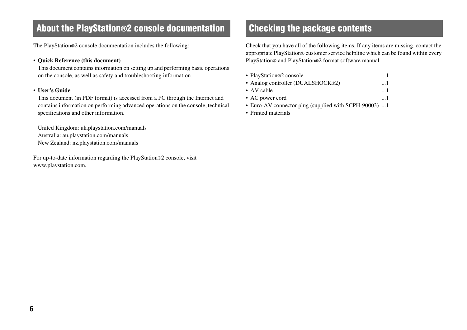### **About the PlayStation®2 console documentation Checking the package contents**

The PlayStation®2 console documentation includes the following:

#### • **Quick Reference (this document)**

This document contains information on setting up and performing basic operations on the console, as well as safety and troubleshooting information.

#### <span id="page-5-0"></span>• **User's Guide**

This document (in PDF format) is accessed from a PC through the Internet and contains information on performing advanced operations on the console, technical specifications and other information.

United Kingdom: uk.playstation.com/manuals Australia: au.playstation.com/manuals New Zealand: nz.playstation.com/manuals

For up-to-date information regarding the PlayStation®2 console, visit www.playstation.com.

Check that you have all of the following items. If any items are missing, contact the appropriate PlayStation® customer service helpline which can be found within every PlayStation® and PlayStation®2 format software manual.

| • PlayStation®2 console           | 1         |
|-----------------------------------|-----------|
| • Analog controller (DUALSHOCK®2) | $\dots 1$ |
| • AV cable                        | $\dots$   |
| • AC power cord                   | . I       |

- Euro-AV connector plug (supplied with SCPH-90003) ...1
- Printed materials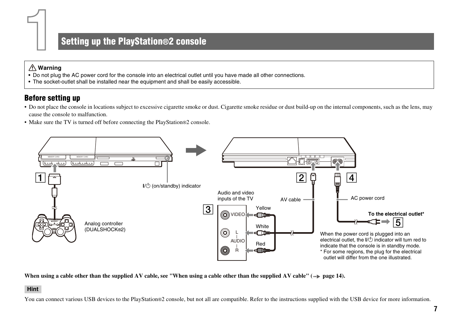### **Setting up the PlayStation®2 console**

#### **Warning**

**1**

- Do not plug the AC power cord for the console into an electrical outlet until you have made all other connections.
- The socket-outlet shall be installed near the equipment and shall be easily accessible.

#### **Before setting up**

- Do not place the console in locations subject to excessive cigarette smoke or dust. Cigarette smoke residue or dust build-up on the internal components, such as the lens, may cause the console to malfunction.
- Make sure the TV is turned off before connecting the PlayStation®2 console.



When using a cable other than the supplied AV cable, see "When using a cable other than the supplied AV cable"  $\leftrightarrow$  [page 14\)](#page-13-0).

#### **Hint**

You can connect various USB devices to the PlayStation®2 console, but not all are compatible. Refer to the instructions supplied with the USB device for more information.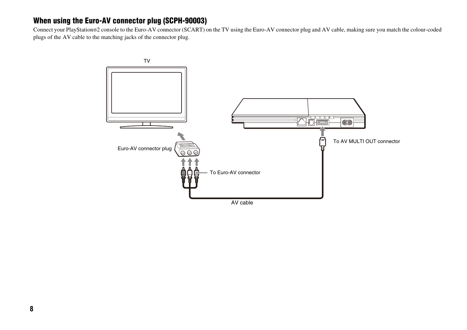#### **When using the Euro-AV connector plug (SCPH-90003)**

Connect your PlayStation®2 console to the Euro-AV connector (SCART) on the TV using the Euro-AV connector plug and AV cable, making sure you match the colour-coded plugs of the AV cable to the matching jacks of the connector plug.

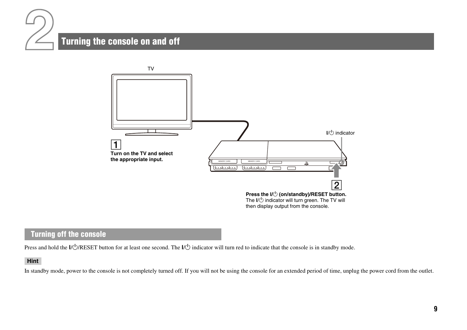

### **Turning the console on and off**



#### **Turning off the console**

Press and hold the  $I/\bigcirc$ /RESET button for at least one second. The  $I/\bigcirc$  indicator will turn red to indicate that the console is in standby mode.

#### **Hint**

In standby mode, power to the console is not completely turned off. If you will not be using the console for an extended period of time, unplug the power cord from the outlet.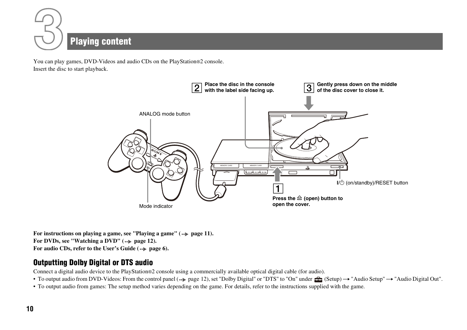

You can play games, DVD-Videos and audio CDs on the PlayStation®2 console. Insert the disc to start playback.



For instructions on playing a game, see "Playing a game" ( $\cdot\cdot\cdot$  [page 11\)](#page-10-0). For DVDs, see "Watching a DVD" ( $\cdot\cdot\cdot$  [page 12](#page-11-0)). For audio CDs, refer to the User's Guide ( $\bullet$ **)** [page 6\)](#page-5-0).

#### **Outputting Dolby Digital or DTS audio**

Connect a digital audio device to the PlayStation®2 console using a commercially available optical digital cable (for audio).

- To output audio from DVD-Videos: From the control panel  $(\cdot \cdot)$  [page 12](#page-11-1)), set "Dolby Digital" or "DTS" to "On" under  $\hat{z}$  (Setup)  $\rightarrow$  "Audio Setup"  $\rightarrow$  "Audio Digital Out".
- To output audio from games: The setup method varies depending on the game. For details, refer to the instructions supplied with the game.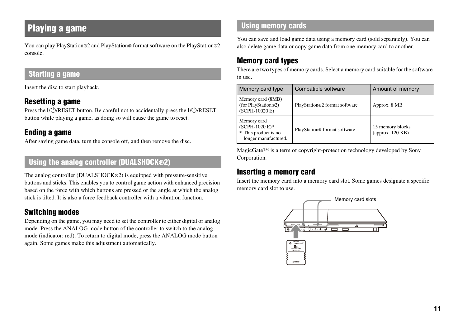# <span id="page-10-0"></span>**Playing a game**

You can play PlayStation®2 and PlayStation® format software on the PlayStation®2 console.

#### **Starting a game**

Insert the disc to start playback.

#### **Resetting a game**

Press the  $\frac{I}{\sqrt{2}}$ RESET button. Be careful not to accidentally press the  $\frac{I}{\sqrt{2}}$ RESET button while playing a game, as doing so will cause the game to reset.

#### **Ending a game**

After saving game data, turn the console off, and then remove the disc.

#### **Using the analog controller (DUALSHOCK®2)**

The analog controller (DUALSHOCK®2) is equipped with pressure-sensitive buttons and sticks. This enables you to control game action with enhanced precision based on the force with which buttons are pressed or the angle at which the analog stick is tilted. It is also a force feedback controller with a vibration function.

#### **Switching modes**

Depending on the game, you may need to set the controller to either digital or analog mode. Press the ANALOG mode button of the controller to switch to the analog mode (indicator: red). To return to digital mode, press the ANALOG mode button again. Some games make this adjustment automatically.

#### **Using memory cards**

You can save and load game data using a memory card (sold separately). You can also delete game data or copy game data from one memory card to another.

### **Memory card types**

There are two types of memory cards. Select a memory card suitable for the software in use.

| Memory card type                                                                 | Compatible software                      | Amount of memory                       |
|----------------------------------------------------------------------------------|------------------------------------------|----------------------------------------|
| Memory card (8MB)<br>(for PlayStation®2)<br>(SCPH-10020 E)                       | PlayStation®2 format software            | Approx. 8 MB                           |
| Memory card<br>$(SCPH-1020 E)^*$<br>* This product is no<br>longer manufactured. | PlayStation <sup>®</sup> format software | 15 memory blocks<br>(approx. $120$ KB) |

MagicGate™ is a term of copyright-protection technology developed by Sony Corporation.

#### **Inserting a memory card**

Insert the memory card into a memory card slot. Some games designate a specific memory card slot to use.

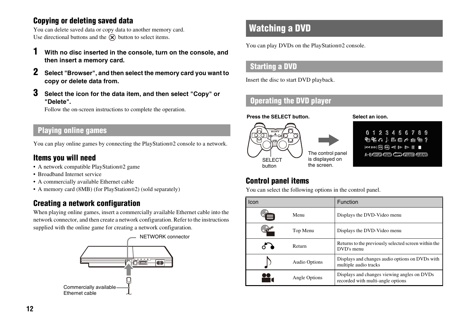### **Copying or deleting saved data**

You can delete saved data or copy data to another memory card. Use directional buttons and the  $\hat{R}$  button to select items.

- **1 With no disc inserted in the console, turn on the console, and then insert a memory card.**
- **2 Select "Browser", and then select the memory card you want to copy or delete data from.**
- **3 Select the icon for the data item, and then select "Copy" or "Delete".**

Follow the on-screen instructions to complete the operation.

#### **Playing online games**

You can play online games by connecting the PlayStation®2 console to a network.

#### **Items you will need**

- A network compatible PlayStation®2 game
- Broadband Internet service
- A commercially available Ethernet cable
- A memory card (8MB) (for PlayStation®2) (sold separately)

### **Creating a network configuration**

When playing online games, insert a commercially available Ethernet cable into the network connector, and then create a network configuration. Refer to the instructions supplied with the online game for creating a network configuration.



### <span id="page-11-0"></span>**Watching a DVD**

You can play DVDs on the PlayStation®2 console.

#### **Starting a DVD**

Insert the disc to start DVD playback.

### **Operating the DVD player**

**Press the SELECT button.**



0123456789

**Select an icon.**

ۼ≘↑≞⊜↑≘@?  $\blacksquare$   $\blacksquare$   $\blacksquare$   $\blacksquare$   $\blacksquare$ 

A-B GHUE (201) CO QUET CURE

### <span id="page-11-1"></span>**Control panel items**

You can select the following options in the control panel.

| Icon |                      | Function                                                                         |
|------|----------------------|----------------------------------------------------------------------------------|
|      | Menu                 | Displays the DVD-Video menu                                                      |
|      | Top Menu             | Displays the DVD-Video menu                                                      |
|      | Return               | Returns to the previously selected screen within the<br>DVD's menu               |
|      | <b>Audio Options</b> | Displays and changes audio options on DVDs with<br>multiple audio tracks         |
|      | Angle Options        | Displays and changes viewing angles on DVDs<br>recorded with multi-angle options |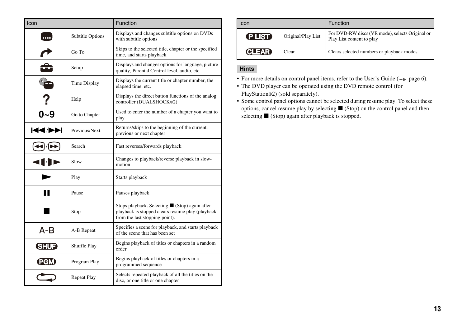| Icon         |                     | Function                                                                                                                             |
|--------------|---------------------|--------------------------------------------------------------------------------------------------------------------------------------|
|              | Subtitle Options    | Displays and changes subtitle options on DVDs<br>with subtitle options                                                               |
|              | Go To               | Skips to the selected title, chapter or the specified<br>time, and starts playback                                                   |
|              | Setup               | Displays and changes options for language, picture<br>quality, Parental Control level, audio, etc.                                   |
|              | <b>Time Display</b> | Displays the current title or chapter number, the<br>elapsed time, etc.                                                              |
|              | Help                | Displays the direct button functions of the analog<br>controller (DUALSHOCK®2)                                                       |
| 0~9          | Go to Chapter       | Used to enter the number of a chapter you want to<br>play                                                                            |
| <b>KKIDE</b> | Previous/Next       | Returns/skips to the beginning of the current,<br>previous or next chapter                                                           |
|              | Search              | Fast reverses/forwards playback                                                                                                      |
|              | Slow                | Changes to playback/reverse playback in slow-<br>motion                                                                              |
|              | Play                | Starts playback                                                                                                                      |
| "            | Pause               | Pauses playback                                                                                                                      |
|              | Stop                | Stops playback. Selecting ■ (Stop) again after<br>playback is stopped clears resume play (playback<br>from the last stopping point). |
| A-B          | A-B Repeat          | Specifies a scene for playback, and starts playback<br>of the scene that has been set                                                |
| <b>SHUE</b>  | Shuffle Play        | Begins playback of titles or chapters in a random<br>order                                                                           |
| PGMI         | Program Play        | Begins playback of titles or chapters in a<br>programmed sequence                                                                    |
|              | <b>Repeat Play</b>  | Selects repeated playback of all the titles on the<br>disc, or one title or one chapter                                              |

| <b>Icon</b>  |                    | <b>Function</b>                                                              |
|--------------|--------------------|------------------------------------------------------------------------------|
| P IST        | Original/Play List | For DVD-RW discs (VR mode), selects Original or<br>Play List content to play |
| <b>CLEAR</b> | Clear              | Clears selected numbers or playback modes                                    |

#### **Hints**

• For more details on control panel items, refer to the User's Guide  $(\cdot \cdot)$  [page 6\)](#page-5-0).

• The DVD player can be operated using the DVD remote control (for PlayStation®2) (sold separately).

• Some control panel options cannot be selected during resume play. To select these options, cancel resume play by selecting  $\blacksquare$  (Stop) on the control panel and then selecting  $\blacksquare$  (Stop) again after playback is stopped.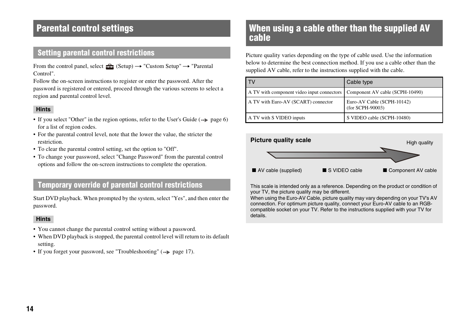## **Parental control settings**

### **Setting parental control restrictions**

From the control panel, select  $\bigoplus$  (Setup)  $\rightarrow$  "Custom Setup"  $\rightarrow$  "Parental Control".

Follow the on-screen instructions to register or enter the password. After the password is registered or entered, proceed through the various screens to select a region and parental control level.

#### **Hints**

- If you select "Other" in the region options, refer to the User's Guide  $(\cdot \cdot)$  page 6) for a list of region codes.
- For the parental control level, note that the lower the value, the stricter the restriction.
- To clear the parental control setting, set the option to "Off".
- To change your password, select "Change Password" from the parental control options and follow the on-screen instructions to complete the operation.

#### **Temporary override of parental control restrictions**

Start DVD playback. When prompted by the system, select "Yes", and then enter the password.

#### **Hints**

- You cannot change the parental control setting without a password.
- When DVD playback is stopped, the parental control level will return to its default setting.
- If you forget your password, see "Troubleshooting"  $(\rightarrow \rightarrow$  [page 17](#page-16-0)).

### <span id="page-13-0"></span>**When using a cable other than the supplied AV cable**

Picture quality varies depending on the type of cable used. Use the information below to determine the best connection method. If you use a cable other than the supplied AV cable, refer to the instructions supplied with the cable.

|                                                                            | Cable type                                     |
|----------------------------------------------------------------------------|------------------------------------------------|
| A TV with component video input connectors Component AV cable (SCPH-10490) |                                                |
| A TV with Euro-AV (SCART) connector                                        | Euro-AV Cable (SCPH-10142)<br>(for SCPH-90003) |
| A TV with S VIDEO inputs                                                   | S VIDEO cable (SCPH-10480)                     |



This scale is intended only as a reference. Depending on the product or condition of your TV, the picture quality may be different.

When using the Euro-AV Cable, picture quality may vary depending on your TV's AV connection. For optimum picture quality, connect your Euro-AV cable to an RGBcompatible socket on your TV. Refer to the instructions supplied with your TV for details.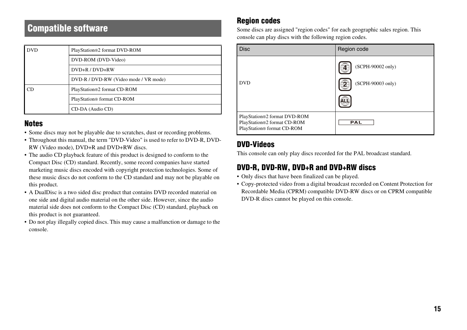### **Compatible software**

| <b>DVD</b> | PlayStation®2 format DVD-ROM          |  |
|------------|---------------------------------------|--|
|            | DVD-ROM (DVD-Video)                   |  |
|            | DVD+R / DVD+RW                        |  |
|            | DVD-R / DVD-RW (Video mode / VR mode) |  |
| CD.        | PlayStation®2 format CD-ROM           |  |
|            | PlayStation® format CD-ROM            |  |
|            | CD-DA (Audio CD)                      |  |

#### **Notes**

- Some discs may not be playable due to scratches, dust or recording problems.
- Throughout this manual, the term "DVD-Video" is used to refer to DVD-R, DVD-RW (Video mode), DVD+R and DVD+RW discs.
- The audio CD playback feature of this product is designed to conform to the Compact Disc (CD) standard. Recently, some record companies have started marketing music discs encoded with copyright protection technologies. Some of these music discs do not conform to the CD standard and may not be playable on this product.
- A DualDisc is a two sided disc product that contains DVD recorded material on one side and digital audio material on the other side. However, since the audio material side does not conform to the Compact Disc (CD) standard, playback on this product is not guaranteed.
- Do not play illegally copied discs. This may cause a malfunction or damage to the console.

#### **Region codes**

Some discs are assigned "region codes" for each geographic sales region. This console can play discs with the following region codes.

| <b>Disc</b>                                                                               | Region code                            |
|-------------------------------------------------------------------------------------------|----------------------------------------|
| <b>DVD</b>                                                                                | (SCPH-90002 only)<br>(SCPH-90003 only) |
| PlayStation®2 format DVD-ROM<br>PlayStation®2 format CD-ROM<br>PlayStation® format CD-ROM | PAL                                    |

#### **DVD-Videos**

This console can only play discs recorded for the PAL broadcast standard.

### **DVD-R, DVD-RW, DVD+R and DVD+RW discs**

- Only discs that have been finalized can be played.
- Copy-protected video from a digital broadcast recorded on Content Protection for Recordable Media (CPRM) compatible DVD-RW discs or on CPRM compatible DVD-R discs cannot be played on this console.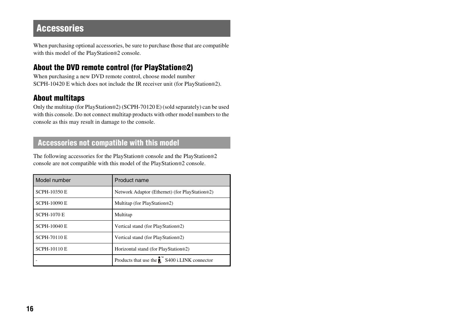### **Accessories**

When purchasing optional accessories, be sure to purchase those that are compatible with this model of the PlayStation®2 console.

#### **About the DVD remote control (for PlayStation®2)**

When purchasing a new DVD remote control, choose model number SCPH-10420 E which does not include the IR receiver unit (for PlayStation®2).

#### **About multitaps**

Only the multitap (for PlayStation®2) (SCPH-70120 E) (sold separately) can be used with this console. Do not connect multitap products with other model numbers to the console as this may result in damage to the console.

### **Accessories not compatible with this model**

The following accessories for the PlayStation® console and the PlayStation®2 console are not compatible with this model of the PlayStation®2 console.

| Model number        | Product name                                                      |
|---------------------|-------------------------------------------------------------------|
| <b>SCPH-10350 E</b> | Network Adaptor (Ethernet) (for PlayStation®2)                    |
| <b>SCPH-10090 E</b> | Multitap (for PlayStation®2)                                      |
| <b>SCPH-1070 E</b>  | Multitap                                                          |
| <b>SCPH-10040 E</b> | Vertical stand (for PlayStation®2)                                |
| <b>SCPH-70110 E</b> | Vertical stand (for PlayStation®2)                                |
| <b>SCPH-10110 E</b> | Horizontal stand (for PlayStation®2)                              |
|                     | Products that use the $\mathbf{R}^{\infty}$ S400 i.LINK connector |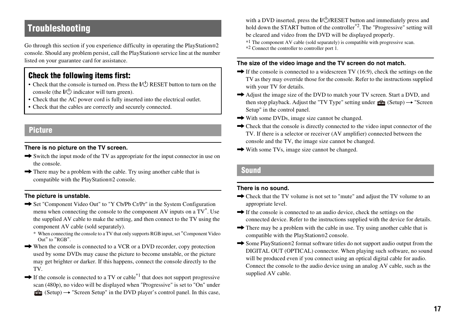## <span id="page-16-0"></span>**Troubleshooting**

Go through this section if you experience difficulty in operating the PlayStation®2 console. Should any problem persist, call the PlayStation® service line at the number listed on your guarantee card for assistance.

#### **Check the following items first:**

- Check that the console is turned on. Press the  $I(\cdot)$  RESET button to turn on the console (the  $\mathsf{I}/\mathsf{U}$ ) indicator will turn green).
- Check that the AC power cord is fully inserted into the electrical outlet.
- Check that the cables are correctly and securely connected.

#### **Picture**

#### **There is no picture on the TV screen.**

- $\rightarrow$  Switch the input mode of the TV as appropriate for the input connector in use on the console.
- $\rightarrow$  There may be a problem with the cable. Try using another cable that is compatible with the PlayStation®2 console.

#### **The picture is unstable.**

- $\rightarrow$  Set "Component Video Out" to "Y Cb/Pb Cr/Pr" in the System Configuration menu when connecting the console to the component AV inputs on a TV<sup>\*</sup>. Use the supplied AV cable to make the setting, and then connect to the TV using the component AV cable (sold separately).
	- \* When connecting the console to a TV that only supports RGB input, set "Component Video Out" to "RGB".
- $\rightarrow$  When the console is connected to a VCR or a DVD recorder, copy protection used by some DVDs may cause the picture to become unstable, or the picture may get brighter or darker. If this happens, connect the console directly to the TV.
- $\rightarrow$  If the console is connected to a TV or cable<sup>\*1</sup> that does not support progressive scan (480p), no video will be displayed when "Progressive" is set to "On" under  $\bigoplus$  (Setup)  $\rightarrow$  "Screen Setup" in the DVD player's control panel. In this case,

with a DVD inserted, press the  $I/\sqrt{C}$ /RESET button and immediately press and hold down the START button of the controller<sup>\*2</sup>. The "Progressive" setting will be cleared and video from the DVD will be displayed properly.

\*1 The component AV cable (sold separately) is compatible with progressive scan.

\*2 Connect the controller to controller port 1.

#### **The size of the video image and the TV screen do not match.**

- $\rightarrow$  If the console is connected to a widescreen TV (16:9), check the settings on the TV as they may override those for the console. Refer to the instructions supplied with your TV for details.
- $\rightarrow$  Adjust the image size of the DVD to match your TV screen. Start a DVD, and then stop playback. Adjust the "TV Type" setting under  $\triangle$  (Setup)  $\rightarrow$  "Screen Setup" in the control panel.
- $\rightarrow$  With some DVDs, image size cannot be changed.
- $\rightarrow$  Check that the console is directly connected to the video input connector of the TV. If there is a selector or receiver (AV amplifier) connected between the console and the TV, the image size cannot be changed.
- $\rightarrow$  With some TVs, image size cannot be changed.

#### **Sound**

#### **There is no sound.**

- $\rightarrow$  Check that the TV volume is not set to "mute" and adjust the TV volume to an appropriate level.
- $\rightarrow$  If the console is connected to an audio device, check the settings on the connected device. Refer to the instructions supplied with the device for details.
- $\rightarrow$  There may be a problem with the cable in use. Try using another cable that is compatible with the PlayStation®2 console.
- → Some PlayStation®2 format software titles do not support audio output from the DIGITAL OUT (OPTICAL) connector. When playing such software, no sound will be produced even if you connect using an optical digital cable for audio. Connect the console to the audio device using an analog AV cable, such as the supplied AV cable.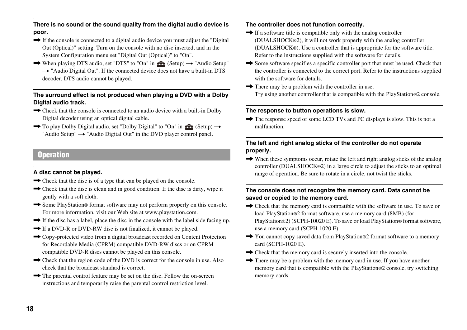**There is no sound or the sound quality from the digital audio device is poor.**

- $\rightarrow$  If the console is connected to a digital audio device you must adjust the "Digital" Out (Optical)" setting. Turn on the console with no disc inserted, and in the System Configuration menu set "Digital Out (Optical)" to "On".
- $\rightarrow$  When playing DTS audio, set "DTS" to "On" in  $\Rightarrow$  (Setup)  $\rightarrow$  "Audio Setup"  $\rightarrow$  "Audio Digital Out". If the connected device does not have a built-in DTS decoder, DTS audio cannot be played.

#### **The surround effect is not produced when playing a DVD with a Dolby Digital audio track.**

- $\rightarrow$  Check that the console is connected to an audio device with a built-in Dolby Digital decoder using an optical digital cable.
- $\rightarrow$  To play Dolby Digital audio, set "Dolby Digital" to "On" in  $\rightarrow$  (Setup)  $\rightarrow$ "Audio Setup"  $\rightarrow$  "Audio Digital Out" in the DVD player control panel.

#### **Operation**

#### **A disc cannot be played.**

- $\rightarrow$  Check that the disc is of a type that can be played on the console.
- $\rightarrow$  Check that the disc is clean and in good condition. If the disc is dirty, wipe it gently with a soft cloth.
- $\rightarrow$  Some PlayStation® format software may not perform properly on this console. For more information, visit our Web site at www.playstation.com.
- $\rightarrow$  If the disc has a label, place the disc in the console with the label side facing up.
- $\rightarrow$  If a DVD-R or DVD-RW disc is not finalized, it cannot be played.
- $\rightarrow$  Copy-protected video from a digital broadcast recorded on Content Protection for Recordable Media (CPRM) compatible DVD-RW discs or on CPRM compatible DVD-R discs cannot be played on this console.
- $\rightarrow$  Check that the region code of the DVD is correct for the console in use. Also check that the broadcast standard is correct.
- $\rightarrow$  The parental control feature may be set on the disc. Follow the on-screen instructions and temporarily raise the parental control restriction level.

#### **The controller does not function correctly.**

- $\rightarrow$  If a software title is compatible only with the analog controller (DUALSHOCK®2), it will not work properly with the analog controller (DUALSHOCK®). Use a controller that is appropriate for the software title. Refer to the instructions supplied with the software for details.
- $\rightarrow$  Some software specifies a specific controller port that must be used. Check that the controller is connected to the correct port. Refer to the instructions supplied with the software for details.
- $\rightarrow$  There may be a problem with the controller in use. Try using another controller that is compatible with the PlayStation®2 console.

#### **The response to button operations is slow.**

 $\rightarrow$  The response speed of some LCD TVs and PC displays is slow. This is not a malfunction.

#### **The left and right analog sticks of the controller do not operate properly.**

 $\rightarrow$  When these symptoms occur, rotate the left and right analog sticks of the analog controller (DUALSHOCK®2) in a large circle to adjust the sticks to an optimal range of operation. Be sure to rotate in a circle, not twist the sticks.

#### **The console does not recognize the memory card. Data cannot be saved or copied to the memory card.**

- $\rightarrow$  Check that the memory card is compatible with the software in use. To save or load PlayStation®2 format software, use a memory card (8MB) (for PlayStation®2) (SCPH-10020 E). To save or load PlayStation® format software, use a memory card (SCPH-1020 E).
- → You cannot copy saved data from PlayStation®2 format software to a memory card (SCPH-1020 E).
- $\rightarrow$  Check that the memory card is securely inserted into the console.
- $\rightarrow$  There may be a problem with the memory card in use. If you have another memory card that is compatible with the PlayStation®2 console, try switching memory cards.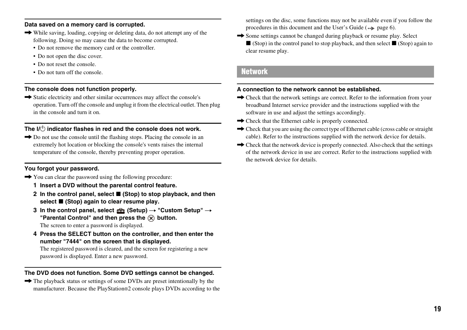#### **Data saved on a memory card is corrupted.**

- $\rightarrow$  While saving, loading, copying or deleting data, do not attempt any of the following. Doing so may cause the data to become corrupted.
	- Do not remove the memory card or the controller.
	- Do not open the disc cover.
	- Do not reset the console.
	- Do not turn off the console.

#### **The console does not function properly.**

 $\rightarrow$  Static electricity and other similar occurrences may affect the console's operation. Turn off the console and unplug it from the electrical outlet. Then plug in the console and turn it on.

#### **The I/<sup>(!</sup>) indicator flashes in red and the console does not work.**

 $\rightarrow$  Do not use the console until the flashing stops. Placing the console in an extremely hot location or blocking the console's vents raises the internal temperature of the console, thereby preventing proper operation.

#### **You forgot your password.**

- $\rightarrow$  You can clear the password using the following procedure:
	- **1 Insert a DVD without the parental control feature.**
	- **2** In the control panel, select (Stop) to stop playback, and then select ■ (Stop) again to clear resume play.
	- **3** In the control panel, select  $\triangle$  (Setup)  $\rightarrow$  "Custom Setup"  $\rightarrow$ "Parental Control" and then press the  $\widehat{X}$  button.

The screen to enter a password is displayed.

**4 Press the SELECT button on the controller, and then enter the number "7444" on the screen that is displayed.** 

The registered password is cleared, and the screen for registering a new password is displayed. Enter a new password.

#### **The DVD does not function. Some DVD settings cannot be changed.**

 $\rightarrow$  The playback status or settings of some DVDs are preset intentionally by the manufacturer. Because the PlayStation®2 console plays DVDs according to the

settings on the disc, some functions may not be available even if you follow the procedures in this document and the User's Guide  $(\cdot \cdot)$  page 6).

 $\rightarrow$  Some settings cannot be changed during playback or resume play. Select  $\blacksquare$  (Stop) in the control panel to stop playback, and then select  $\blacksquare$  (Stop) again to clear resume play.

#### **Network**

#### **A connection to the network cannot be established.**

- $\rightarrow$  Check that the network settings are correct. Refer to the information from your broadband Internet service provider and the instructions supplied with the software in use and adjust the settings accordingly.
- $\rightarrow$  Check that the Ethernet cable is properly connected.
- $\rightarrow$  Check that you are using the correct type of Ethernet cable (cross cable or straight) cable). Refer to the instructions supplied with the network device for details.
- $\rightarrow$  Check that the network device is properly connected. Also check that the settings of the network device in use are correct. Refer to the instructions supplied with the network device for details.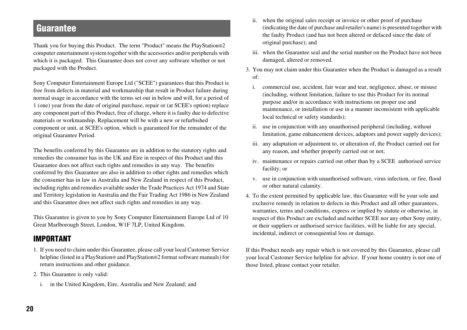### **Guarantee**

Thank you for buying this Product. The term "Product" means the PlayStation®2 computer entertainment system together with the accessories and/or peripherals with which it is packaged. This Guarantee does not cover any software whether or not packaged with the Product.

Sony Computer Entertainment Europe Ltd ("SCEE") guarantees that this Product is free from defects in material and workmanship that result in Product failure during normal usage in accordance with the terms set out in below and will, for a period of 1 (one) year from the date of original purchase, repair or (at SCEE's option) replace any component part of this Product, free of charge, where it is faulty due to defective materials or workmanship. Replacement will be with a new or refurbished component or unit, at SCEE's option, which is guaranteed for the remainder of the original Guarantee Period.

The benefits conferred by this Guarantee are in addition to the statutory rights and remedies the consumer has in the UK and Eire in respect of this Product and this Guarantee does not affect such rights and remedies in any way. The benefits conferred by this Guarantee are also in addition to other rights and remedies which the consumer has in law in Australia and New Zealand in respect of this Product, including rights and remedies available under the Trade Practices Act 1974 and State and Territory legislation in Australia and the Fair Trading Act 1986 in New Zealand and this Guarantee does not affect such rights and remedies in any way.

This Guarantee is given to you by Sony Computer Entertainment Europe Ltd of 10 Great Marlborough Street, London, W1F 7LP, United Kingdom.

#### **IMPORTANT**

- 1. If you need to claim under this Guarantee, please call your local Customer Service helpline (listed in a PlayStation® and PlayStation®2 format software manuals) for return instructions and other guidance.
- 2. This Guarantee is only valid:
	- i. in the United Kingdom, Eire, Australia and New Zealand; and
- ii. when the original sales receipt or invoice or other proof of purchase (indicating the date of purchase and retailer's name) is presented together with the faulty Product (and has not been altered or defaced since the date of original purchase); and
- iii. when the Guarantee seal and the serial number on the Product have not been damaged, altered or removed.
- 3. You may not claim under this Guarantee when the Product is damaged as a result of:
	- i. commercial use, accident, fair wear and tear, negligence, abuse, or misuse (including, without limitation, failure to use this Product for its normal purpose and/or in accordance with instructions on proper use and maintenance, or installation or use in a manner inconsistent with applicable local technical or safety standards);
	- ii. use in conjunction with any unauthorised peripheral (including, without limitation, game enhancement devices, adaptors and power supply devices);
	- iii. any adaptation or adjustment to, or alteration of, the Product carried out for any reason, and whether properly carried out or not;
	- iv. maintenance or repairs carried out other than by a SCEE authorised service facility; or
	- v. use in conjunction with unauthorised software, virus infection, or fire, flood or other natural calamity.
- 4. To the extent permitted by applicable law, this Guarantee will be your sole and exclusive remedy in relation to defects in this Product and all other guarantees, warranties, terms and conditions, express or implied by statute or otherwise, in respect of this Product are excluded and neither SCEE nor any other Sony entity, or their suppliers or authorised service facilities, will be liable for any special, incidental, indirect or consequential loss or damage.

If this Product needs any repair which is not covered by this Guarantee, please call your local Customer Service helpline for advice. If your home country is not one of those listed, please contact your retailer.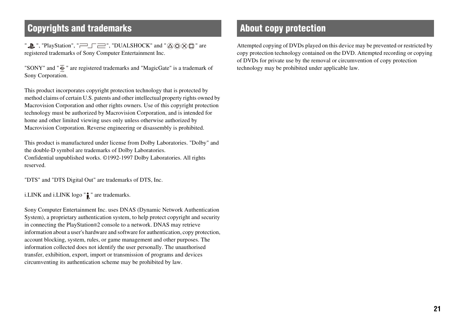## **Copyrights and trademarks About copy protection**

". ThayStation", " $\equiv$   $\equiv$ ", "DUALSHOCK" and " $\triangle$   $\odot$   $\otimes$   $\triangle$ " are registered trademarks of Sony Computer Entertainment Inc.

"SONY" and " $\overline{\Phi}$ " are registered trademarks and "MagicGate" is a trademark of Sony Corporation.

This product incorporates copyright protection technology that is protected by method claims of certain U.S. patents and other intellectual property rights owned by Macrovision Corporation and other rights owners. Use of this copyright protection technology must be authorized by Macrovision Corporation, and is intended for home and other limited viewing uses only unless otherwise authorized by Macrovision Corporation. Reverse engineering or disassembly is prohibited.

This product is manufactured under license from Dolby Laboratories. "Dolby" and the double-D symbol are trademarks of Dolby Laboratories. Confidential unpublished works. ©1992-1997 Dolby Laboratories. All rights reserved.

"DTS" and "DTS Digital Out" are trademarks of DTS, Inc.

i.LINK and i.LINK logo  $"\parallel$  " are trademarks.

Sony Computer Entertainment Inc. uses DNAS (Dynamic Network Authentication System), a proprietary authentication system, to help protect copyright and security in connecting the PlayStation®2 console to a network. DNAS may retrieve information about a user's hardware and software for authentication, copy protection, account blocking, system, rules, or game management and other purposes. The information collected does not identify the user personally. The unauthorised transfer, exhibition, export, import or transmission of programs and devices circumventing its authentication scheme may be prohibited by law.

Attempted copying of DVDs played on this device may be prevented or restricted by copy protection technology contained on the DVD. Attempted recording or copying of DVDs for private use by the removal or circumvention of copy protection technology may be prohibited under applicable law.